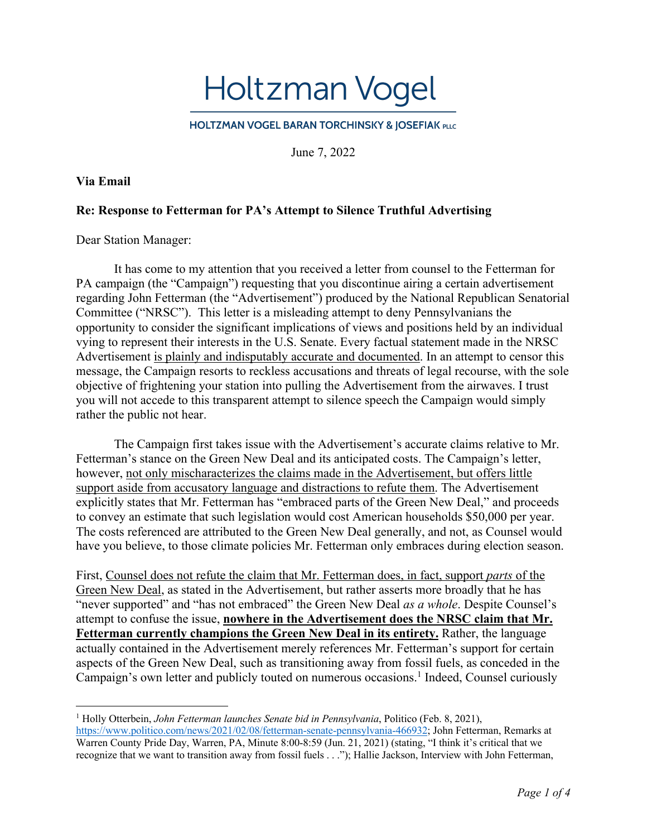Holtzman Vogel

**HOLTZMAN VOGEL BARAN TORCHINSKY & JOSEFIAK PLLC** 

June 7, 2022

## **Via Email**

## **Re: Response to Fetterman for PA's Attempt to Silence Truthful Advertising**

Dear Station Manager:

It has come to my attention that you received a letter from counsel to the Fetterman for PA campaign (the "Campaign") requesting that you discontinue airing a certain advertisement regarding John Fetterman (the "Advertisement") produced by the National Republican Senatorial Committee ("NRSC"). This letter is a misleading attempt to deny Pennsylvanians the opportunity to consider the significant implications of views and positions held by an individual vying to represent their interests in the U.S. Senate. Every factual statement made in the NRSC Advertisement is plainly and indisputably accurate and documented. In an attempt to censor this message, the Campaign resorts to reckless accusations and threats of legal recourse, with the sole objective of frightening your station into pulling the Advertisement from the airwaves. I trust you will not accede to this transparent attempt to silence speech the Campaign would simply rather the public not hear.

The Campaign first takes issue with the Advertisement's accurate claims relative to Mr. Fetterman's stance on the Green New Deal and its anticipated costs. The Campaign's letter, however, not only mischaracterizes the claims made in the Advertisement, but offers little support aside from accusatory language and distractions to refute them. The Advertisement explicitly states that Mr. Fetterman has "embraced parts of the Green New Deal," and proceeds to convey an estimate that such legislation would cost American households \$50,000 per year. The costs referenced are attributed to the Green New Deal generally, and not, as Counsel would have you believe, to those climate policies Mr. Fetterman only embraces during election season.

First, Counsel does not refute the claim that Mr. Fetterman does, in fact, support *parts* of the Green New Deal, as stated in the Advertisement, but rather asserts more broadly that he has "never supported" and "has not embraced" the Green New Deal *as a whole*. Despite Counsel's attempt to confuse the issue, **nowhere in the Advertisement does the NRSC claim that Mr. Fetterman currently champions the Green New Deal in its entirety.** Rather, the language actually contained in the Advertisement merely references Mr. Fetterman's support for certain aspects of the Green New Deal, such as transitioning away from fossil fuels, as conceded in the Campaign's own letter and publicly touted on numerous occasions.<sup>1</sup> Indeed, Counsel curiously

<sup>1</sup> Holly Otterbein, *John Fetterman launches Senate bid in Pennsylvania*, Politico (Feb. 8, 2021),

https://www.politico.com/news/2021/02/08/fetterman-senate-pennsylvania-466932; John Fetterman, Remarks at Warren County Pride Day, Warren, PA, Minute 8:00-8:59 (Jun. 21, 2021) (stating, "I think it's critical that we recognize that we want to transition away from fossil fuels . . ."); Hallie Jackson, Interview with John Fetterman,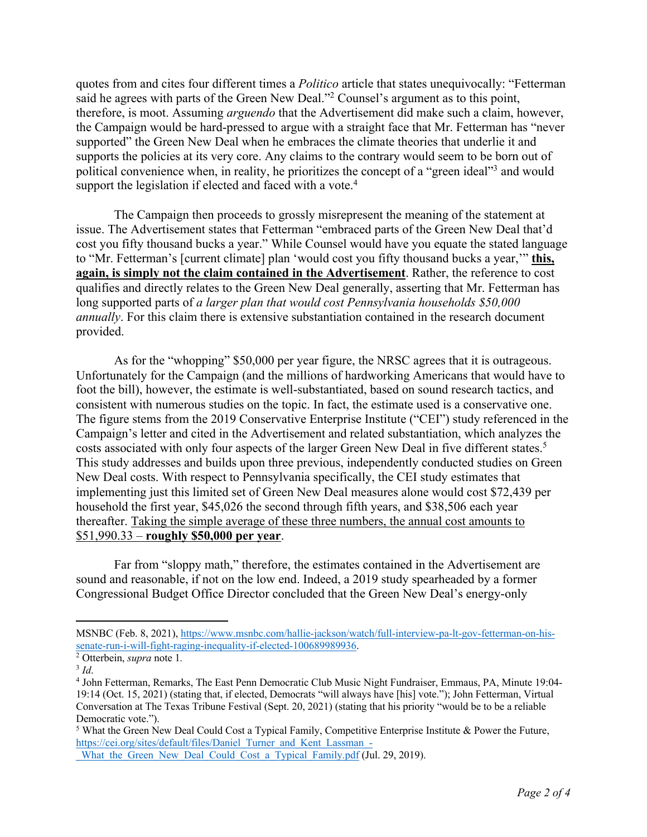quotes from and cites four different times a *Politico* article that states unequivocally: "Fetterman said he agrees with parts of the Green New Deal."<sup>2</sup> Counsel's argument as to this point, therefore, is moot. Assuming *arguendo* that the Advertisement did make such a claim, however, the Campaign would be hard-pressed to argue with a straight face that Mr. Fetterman has "never supported" the Green New Deal when he embraces the climate theories that underlie it and supports the policies at its very core. Any claims to the contrary would seem to be born out of political convenience when, in reality, he prioritizes the concept of a "green ideal"3 and would support the legislation if elected and faced with a vote.<sup>4</sup>

The Campaign then proceeds to grossly misrepresent the meaning of the statement at issue. The Advertisement states that Fetterman "embraced parts of the Green New Deal that'd cost you fifty thousand bucks a year." While Counsel would have you equate the stated language to "Mr. Fetterman's [current climate] plan 'would cost you fifty thousand bucks a year,'" **this, again, is simply not the claim contained in the Advertisement**. Rather, the reference to cost qualifies and directly relates to the Green New Deal generally, asserting that Mr. Fetterman has long supported parts of *a larger plan that would cost Pennsylvania households \$50,000 annually*. For this claim there is extensive substantiation contained in the research document provided.

As for the "whopping" \$50,000 per year figure, the NRSC agrees that it is outrageous. Unfortunately for the Campaign (and the millions of hardworking Americans that would have to foot the bill), however, the estimate is well-substantiated, based on sound research tactics, and consistent with numerous studies on the topic. In fact, the estimate used is a conservative one. The figure stems from the 2019 Conservative Enterprise Institute ("CEI") study referenced in the Campaign's letter and cited in the Advertisement and related substantiation, which analyzes the costs associated with only four aspects of the larger Green New Deal in five different states.<sup>5</sup> This study addresses and builds upon three previous, independently conducted studies on Green New Deal costs. With respect to Pennsylvania specifically, the CEI study estimates that implementing just this limited set of Green New Deal measures alone would cost \$72,439 per household the first year, \$45,026 the second through fifth years, and \$38,506 each year thereafter. Taking the simple average of these three numbers, the annual cost amounts to \$51,990.33 – **roughly \$50,000 per year**.

Far from "sloppy math," therefore, the estimates contained in the Advertisement are sound and reasonable, if not on the low end. Indeed, a 2019 study spearheaded by a former Congressional Budget Office Director concluded that the Green New Deal's energy-only

MSNBC (Feb. 8, 2021), https://www.msnbc.com/hallie-jackson/watch/full-interview-pa-lt-gov-fetterman-on-hissenate-run-i-will-fight-raging-inequality-if-elected-100689989936. 2 Otterbein, *supra* note 1*.*

 $3$  *Id.* 

<sup>4</sup> John Fetterman, Remarks, The East Penn Democratic Club Music Night Fundraiser, Emmaus, PA, Minute 19:04- 19:14 (Oct. 15, 2021) (stating that, if elected, Democrats "will always have [his] vote."); John Fetterman, Virtual Conversation at The Texas Tribune Festival (Sept. 20, 2021) (stating that his priority "would be to be a reliable Democratic vote.").

<sup>5</sup> What the Green New Deal Could Cost a Typical Family, Competitive Enterprise Institute & Power the Future, https://cei.org/sites/default/files/Daniel\_Turner\_and\_Kent\_Lassman\_-

What the Green New Deal Could Cost a Typical Family.pdf (Jul. 29, 2019).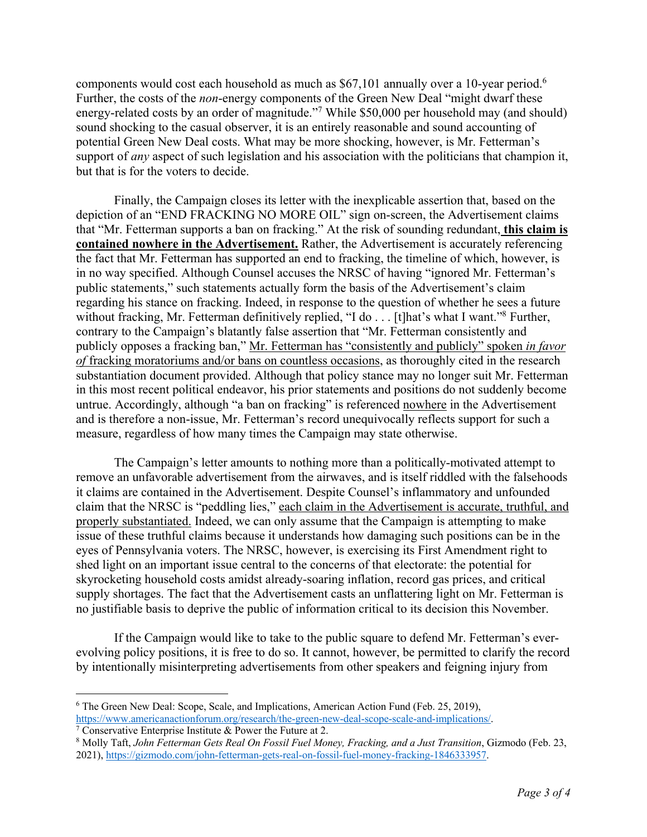components would cost each household as much as \$67,101 annually over a 10-year period.6 Further, the costs of the *non*-energy components of the Green New Deal "might dwarf these energy-related costs by an order of magnitude."<sup>7</sup> While \$50,000 per household may (and should) sound shocking to the casual observer, it is an entirely reasonable and sound accounting of potential Green New Deal costs. What may be more shocking, however, is Mr. Fetterman's support of *any* aspect of such legislation and his association with the politicians that champion it, but that is for the voters to decide.

Finally, the Campaign closes its letter with the inexplicable assertion that, based on the depiction of an "END FRACKING NO MORE OIL" sign on-screen, the Advertisement claims that "Mr. Fetterman supports a ban on fracking." At the risk of sounding redundant, **this claim is contained nowhere in the Advertisement.** Rather, the Advertisement is accurately referencing the fact that Mr. Fetterman has supported an end to fracking, the timeline of which, however, is in no way specified. Although Counsel accuses the NRSC of having "ignored Mr. Fetterman's public statements," such statements actually form the basis of the Advertisement's claim regarding his stance on fracking. Indeed, in response to the question of whether he sees a future without fracking, Mr. Fetterman definitively replied, "I do . . . [t] hat's what I want."<sup>8</sup> Further, contrary to the Campaign's blatantly false assertion that "Mr. Fetterman consistently and publicly opposes a fracking ban," Mr. Fetterman has "consistently and publicly" spoken *in favor of* fracking moratoriums and/or bans on countless occasions, as thoroughly cited in the research substantiation document provided. Although that policy stance may no longer suit Mr. Fetterman in this most recent political endeavor, his prior statements and positions do not suddenly become untrue. Accordingly, although "a ban on fracking" is referenced nowhere in the Advertisement and is therefore a non-issue, Mr. Fetterman's record unequivocally reflects support for such a measure, regardless of how many times the Campaign may state otherwise.

The Campaign's letter amounts to nothing more than a politically-motivated attempt to remove an unfavorable advertisement from the airwaves, and is itself riddled with the falsehoods it claims are contained in the Advertisement. Despite Counsel's inflammatory and unfounded claim that the NRSC is "peddling lies," each claim in the Advertisement is accurate, truthful, and properly substantiated. Indeed, we can only assume that the Campaign is attempting to make issue of these truthful claims because it understands how damaging such positions can be in the eyes of Pennsylvania voters. The NRSC, however, is exercising its First Amendment right to shed light on an important issue central to the concerns of that electorate: the potential for skyrocketing household costs amidst already-soaring inflation, record gas prices, and critical supply shortages. The fact that the Advertisement casts an unflattering light on Mr. Fetterman is no justifiable basis to deprive the public of information critical to its decision this November.

If the Campaign would like to take to the public square to defend Mr. Fetterman's everevolving policy positions, it is free to do so. It cannot, however, be permitted to clarify the record by intentionally misinterpreting advertisements from other speakers and feigning injury from

<sup>6</sup> The Green New Deal: Scope, Scale, and Implications, American Action Fund (Feb. 25, 2019), https://www.americanactionforum.org/research/the-green-new-deal-scope-scale-and-implications/. <sup>7</sup> Conservative Enterprise Institute & Power the Future at 2.

<sup>8</sup> Molly Taft, *John Fetterman Gets Real On Fossil Fuel Money, Fracking, and a Just Transition*, Gizmodo (Feb. 23, 2021), https://gizmodo.com/john-fetterman-gets-real-on-fossil-fuel-money-fracking-1846333957.